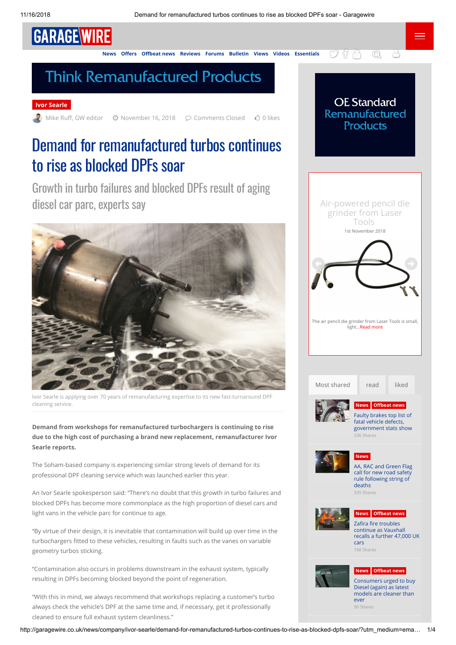# GARAGE WIRE

**[News](http://garagewire.co.uk/category/news/) Offers Offbeat news [Reviews](http://garagewire.co.uk/category/news/garage-wire-views/reviews-garage-wire-views/) [Forums](http://garagewire.co.uk/forums/) [Bulletin](http://garagewire.cmail19.com/t/ViewEmail/r/5F345FE2BA35BB022540EF23F30FEDED) [Views](http://garagewire.co.uk/category/news/garage-wire-views/) [Videos](http://garagewire.co.uk/category/news/videos/) [Essentials](http://garagewire.co.uk/category/garage-essentials/)**  $\bigcirc$   $\bigcirc$   $\bigcirc$   $\bigcirc$   $\bigcirc$ 

### **Think Remanufactured Products**

#### **[Ivor Searle](http://garagewire.co.uk/category/news/company/ivor-searle/)**

Mike Ruff, GW editor  $\quad \textcircled{a}$  November 16, 2018  $\quad \textcircled{c}$  Comments Closed  $\quad \textcircled{c}$  0 likes

## Demand for remanufactured turbos continues to rise as blocked DPFs soar

Growth in turbo failures and blocked DPFs result of aging diesel car parc, experts say



Ivor Searle is applying over 70 years of remanufacturing expertise to its new fast-turnaround DPF cleaning service.

**Demand from workshops for remanufactured turbochargers is continuing to rise due to the high cost of purchasing a brand new replacement, remanufacturer Ivor Searle reports.**

The Soham-based company is experiencing similar strong levels of demand for its professional DPF cleaning service which was launched earlier this year.

An Ivor Searle spokesperson said: "There's no doubt that this growth in turbo failures and blocked DPFs has become more commonplace as the high proportion of diesel cars and light vans in the vehicle parc for continue to age.

"By virtue of their design, it is inevitable that contamination will build up over time in the turbochargers fitted to these vehicles, resulting in faults such as the vanes on variable geometry turbos sticking.

"Contamination also occurs in problems downstream in the exhaust system, typically resulting in DPFs becoming blocked beyond the point of regeneration.

"With this in mind, we always recommend that workshops replacing a customer's turbo always check the vehicle's DPF at the same time and, if necessary, get it professionally cleaned to ensure full exhaust system cleanliness."



**OE Standard Remanufactured Products** 

<span id="page-0-0"></span>

[Consumers urged to buy](http://garagewire.co.uk/news/consumers-urged-to-buy-diesel-again-as-latest-models-are-cleaner-than-ever/) Diesel (again) as latest models are cleaner than ever [90 Shares](http://garagewire.co.uk/news/consumers-urged-to-buy-diesel-again-as-latest-models-are-cleaner-than-ever//)